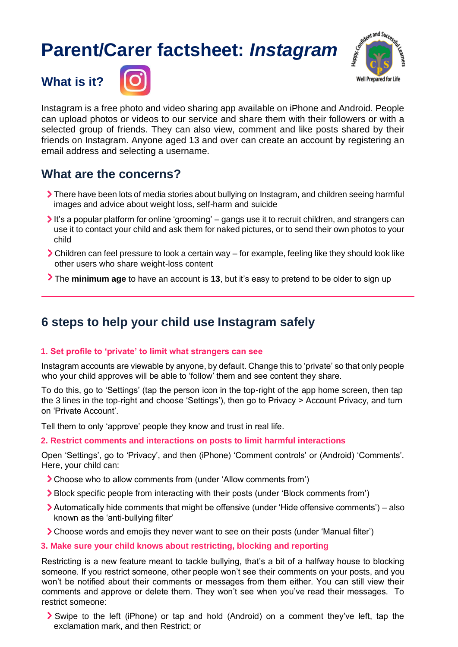# **Parent/Carer factsheet:** *Instagram*



**What is it?**



Instagram is a free photo and video sharing app available on iPhone and Android. People can upload photos or videos to our service and share them with their followers or with a selected group of friends. They can also view, comment and like posts shared by their friends on Instagram. Anyone aged 13 and over can create an account by registering an email address and selecting a username.

## **What are the concerns?**

- There have been lots of media stories about bullying on Instagram, and children seeing harmful images and advice about weight loss, self-harm and suicide
- It's a popular platform for online 'grooming' gangs use it to recruit children, and strangers can use it to contact your child and ask them for naked pictures, or to send their own photos to your child
- Children can feel pressure to look a certain way for example, feeling like they should look like other users who share weight-loss content
- The **minimum age** to have an account is **13**, but it's easy to pretend to be older to sign up

## **6 steps to help your child use Instagram safely**

### **1. Set profile to 'private' to limit what strangers can see**

Instagram accounts are viewable by anyone, by default. Change this to 'private' so that only people who your child approves will be able to 'follow' them and see content they share.

To do this, go to 'Settings' (tap the person icon in the top-right of the app home screen, then tap the 3 lines in the top-right and choose 'Settings'), then go to Privacy > Account Privacy, and turn on 'Private Account'.

Tell them to only 'approve' people they know and trust in real life.

#### **2. Restrict comments and interactions on posts to limit harmful interactions**

Open 'Settings', go to 'Privacy', and then (iPhone) 'Comment controls' or (Android) 'Comments'. Here, your child can:

- Choose who to allow comments from (under 'Allow comments from')
- Block specific people from interacting with their posts (under 'Block comments from')
- Automatically hide comments that might be offensive (under 'Hide offensive comments') also known as the 'anti-bullying filter'
- Choose words and emojis they never want to see on their posts (under 'Manual filter')

#### **3. Make sure your child knows about restricting, blocking and reporting**

Restricting is a new feature meant to tackle bullying, that's a bit of a halfway house to blocking someone. If you restrict someone, other people won't see their comments on your posts, and you won't be notified about their comments or messages from them either. You can still view their comments and approve or delete them. They won't see when you've read their messages. To restrict someone:

Swipe to the left (iPhone) or tap and hold (Android) on a comment they've left, tap the exclamation mark, and then Restrict; or